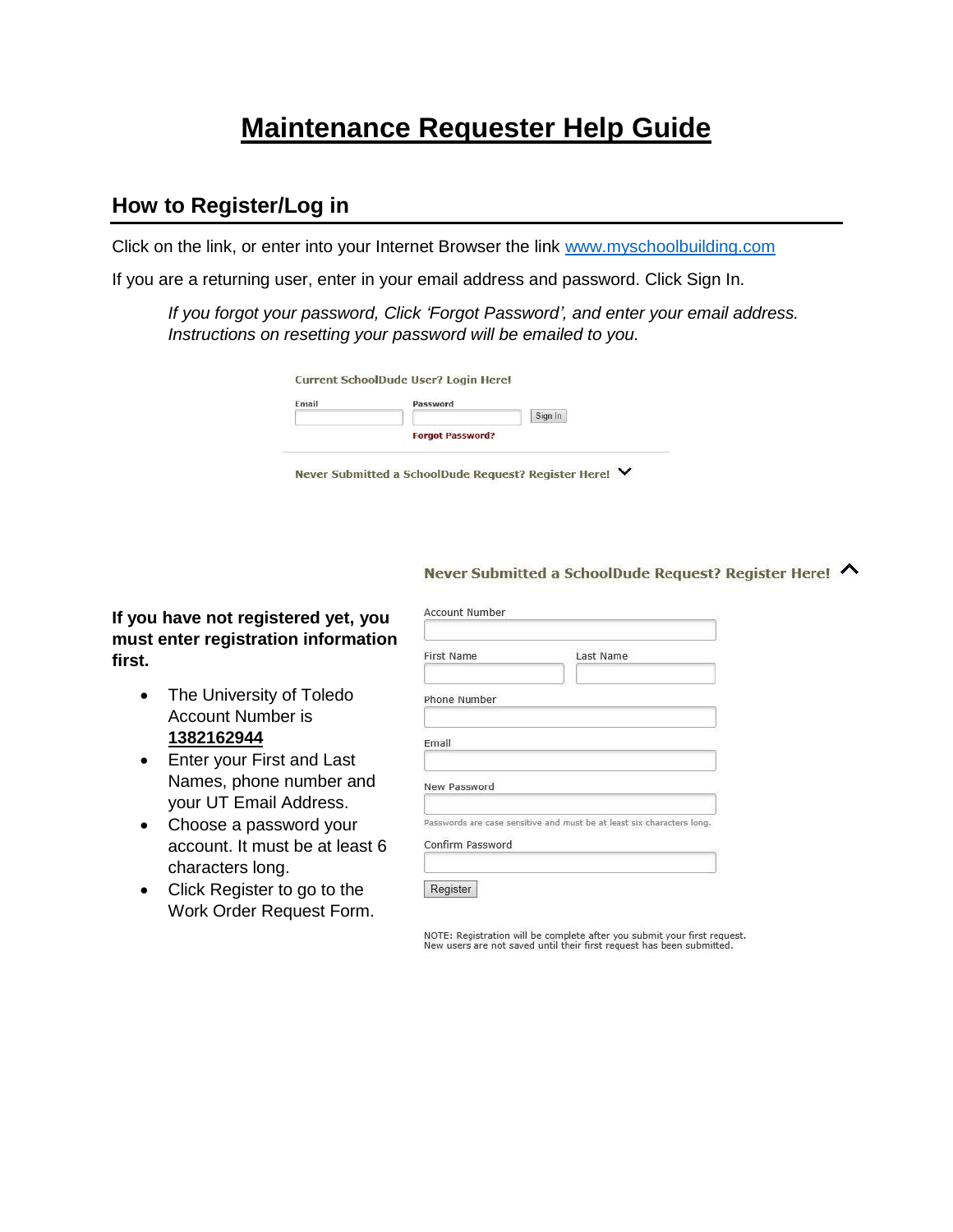# **Maintenance Requester Help Guide**

#### **How to Register/Log in**

Click on the link, or enter into your Internet Browser the link [www.myschoolbuilding.com](http://www.myschoolbuilding.com/)

If you are a returning user, enter in your email address and password. Click Sign In.

*If you forgot your password, Click 'Forgot Password', and enter your email address. Instructions on resetting your password will be emailed to you.*

| <b>Email</b> | Password                |         |
|--------------|-------------------------|---------|
|              |                         | Sign In |
|              | <b>Forgot Password?</b> |         |

Never Submitted a SchoolDude Request? Register Here! ∨

Never Submitted a SchoolDude Request? Register Here! ∧

**If you have not registered yet, you must enter registration information first.**

- The University of Toledo Account Number is **1382162944**
- Enter your First and Last Names, phone number and your UT Email Address.
- Choose a password your account. It must be at least 6 characters long.
- Click Register to go to the Work Order Request Form.

| First Name       | Last Name                                                              |
|------------------|------------------------------------------------------------------------|
| Phone Number     |                                                                        |
| Email            |                                                                        |
| New Password     |                                                                        |
| Confirm Password | Passwords are case sensitive and must be at least six characters long. |

NOTE: Registration will be complete after you submit your first request.<br>New users are not saved until their first request has been submitted.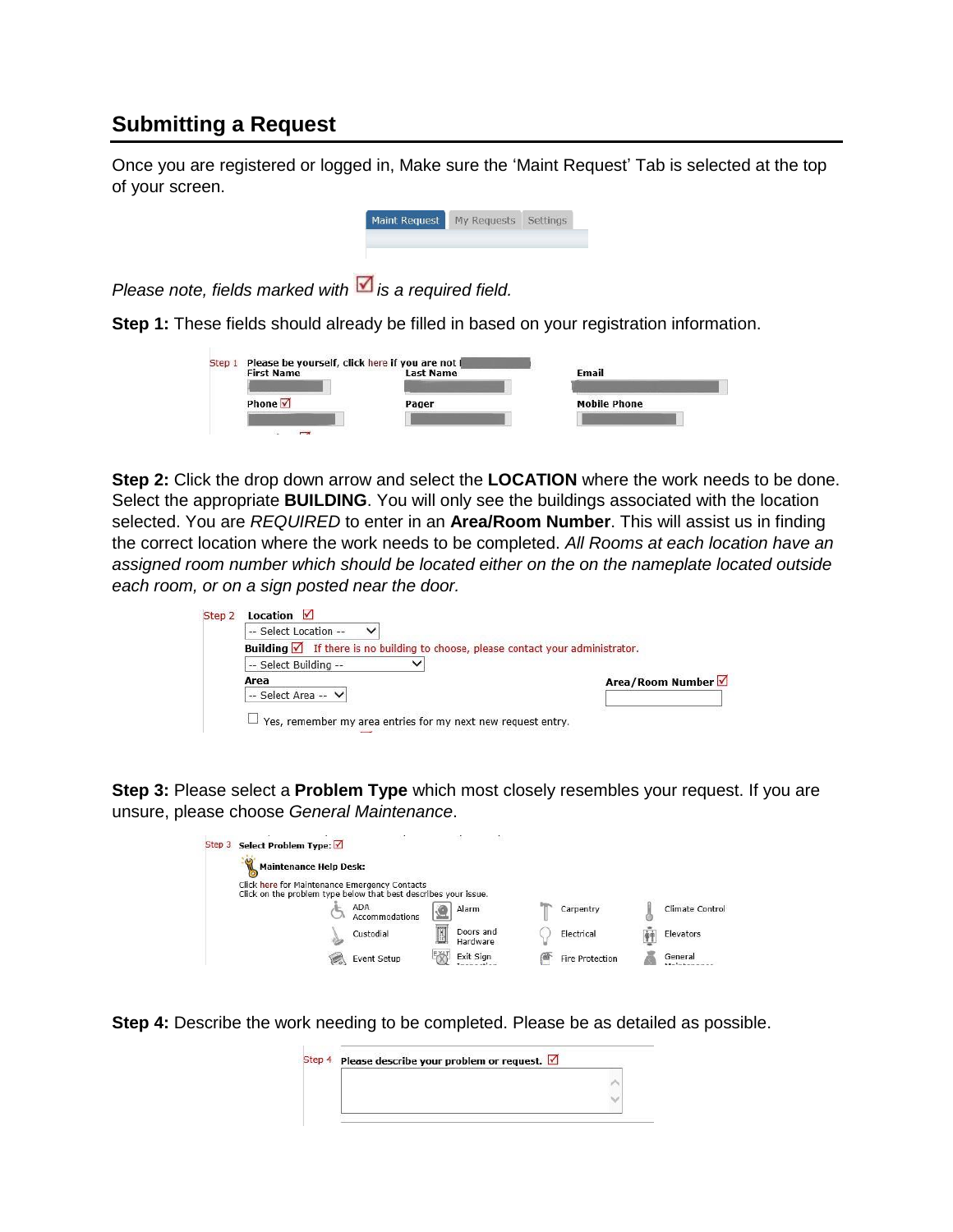#### **Submitting a Request**

Once you are registered or logged in, Make sure the 'Maint Request' Tab is selected at the top of your screen.



*Please note, fields marked with is a required field.* 

**Step 1:** These fields should already be filled in based on your registration information.

| <b>First Name</b> | <b>Last Name</b> | Email               |
|-------------------|------------------|---------------------|
| Phone $\sqrt{}$   | Pager            | <b>Mobile Phone</b> |

**Step 2:** Click the drop down arrow and select the **LOCATION** where the work needs to be done. Select the appropriate **BUILDING**. You will only see the buildings associated with the location selected. You are *REQUIRED* to enter in an **Area/Room Number**. This will assist us in finding the correct location where the work needs to be completed. *All Rooms at each location have an assigned room number which should be located either on the on the nameplate located outside each room, or on a sign posted near the door.*

| -- Select Location --<br>$\checkmark$                                                               |                  |
|-----------------------------------------------------------------------------------------------------|------------------|
| Building $\sqrt{\phantom{a}}$ If there is no building to choose, please contact your administrator. |                  |
| -- Select Building --                                                                               |                  |
| Area                                                                                                | Area/Room Number |
| -- Select Area -- V                                                                                 |                  |

**Step 3:** Please select a **Problem Type** which most closely resembles your request. If you are unsure, please choose *General Maintenance*.

| Select Problem Type: <del>■</del><br>Step 3 |                                                                                                                  | 32                         |                        |                 |
|---------------------------------------------|------------------------------------------------------------------------------------------------------------------|----------------------------|------------------------|-----------------|
| <b>Maintenance Help Desk:</b>               |                                                                                                                  |                            |                        |                 |
|                                             | Click here for Maintenance Emergency Contacts<br>Click on the problem type below that best describes your issue. |                            |                        |                 |
|                                             | ADA<br>Accommodations                                                                                            | Alarm                      | Carpentry              | Climate Control |
|                                             | Custodial                                                                                                        | E<br>Doors and<br>Hardware | Electrical             | Elevators       |
|                                             | Event Setup                                                                                                      | Exit Sign                  | <b>Fire Protection</b> | General         |

**Step 4:** Describe the work needing to be completed. Please be as detailed as possible.

| Step 4 Please describe your problem or request. ☑ |  |
|---------------------------------------------------|--|
|                                                   |  |
|                                                   |  |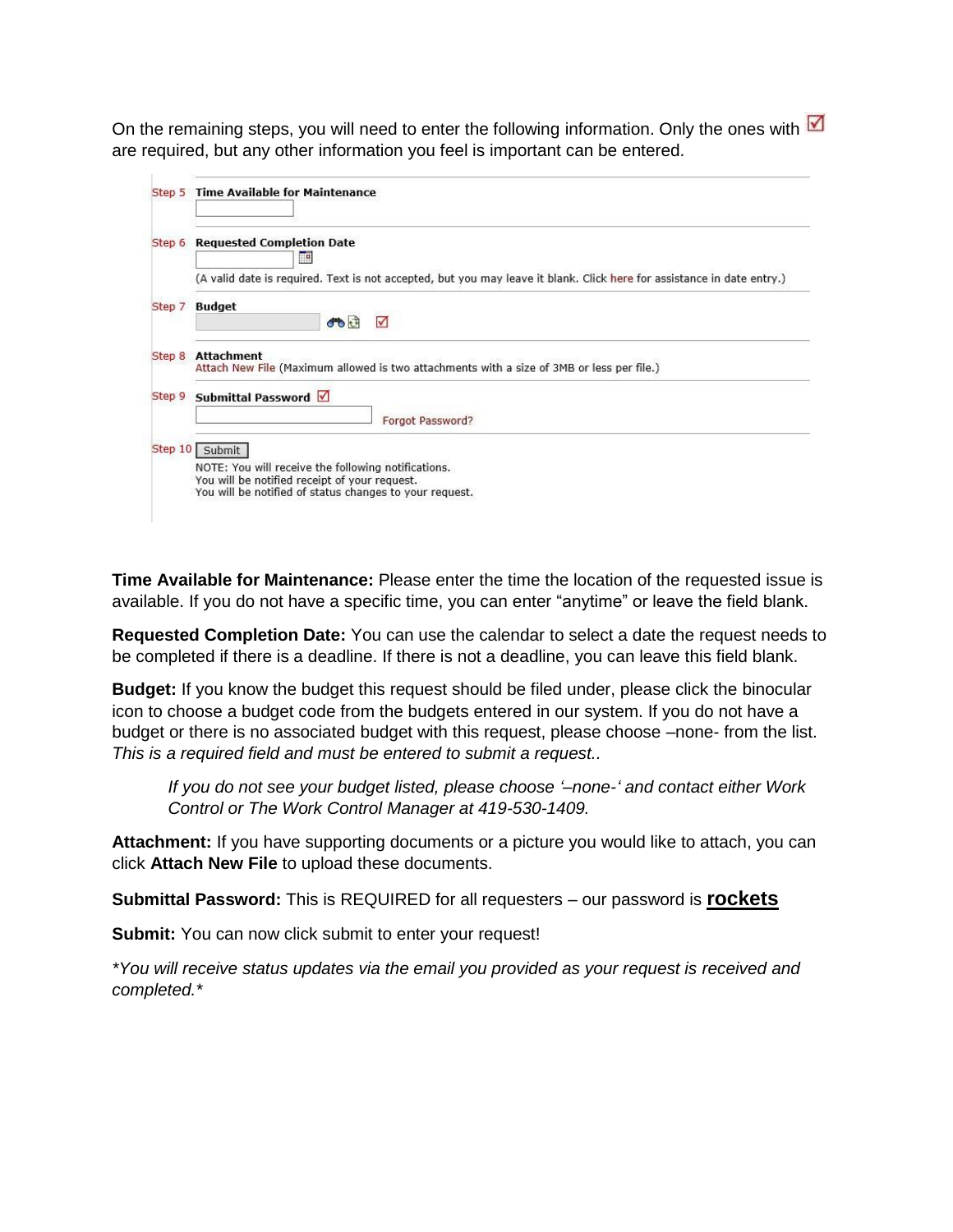On the remaining steps, you will need to enter the following information. Only the ones with  $\blacksquare$ are required, but any other information you feel is important can be entered.

| Step 6 | <b>Requested Completion Date</b><br>Ŧ                                                                                  |
|--------|------------------------------------------------------------------------------------------------------------------------|
|        | (A valid date is required. Text is not accepted, but you may leave it blank. Click here for assistance in date entry.) |
|        | Step 7 Budget<br><b>COLT</b><br>$\checkmark$                                                                           |
| Step 8 | <b>Attachment</b><br>Attach New File (Maximum allowed is two attachments with a size of 3MB or less per file.)         |
| Step 9 | Submittal Password √                                                                                                   |
|        | Forgot Password?                                                                                                       |
|        |                                                                                                                        |
|        | Step 10 Submit                                                                                                         |

**Time Available for Maintenance:** Please enter the time the location of the requested issue is available. If you do not have a specific time, you can enter "anytime" or leave the field blank.

**Requested Completion Date:** You can use the calendar to select a date the request needs to be completed if there is a deadline. If there is not a deadline, you can leave this field blank.

**Budget:** If you know the budget this request should be filed under, please click the binocular icon to choose a budget code from the budgets entered in our system. If you do not have a budget or there is no associated budget with this request, please choose –none- from the list. *This is a required field and must be entered to submit a request..*

*If you do not see your budget listed, please choose '–none-' and contact either Work Control or The Work Control Manager at 419-530-1409.*

**Attachment:** If you have supporting documents or a picture you would like to attach, you can click **Attach New File** to upload these documents.

**Submittal Password:** This is REQUIRED for all requesters – our password is **rockets**

**Submit:** You can now click submit to enter your request!

*\*You will receive status updates via the email you provided as your request is received and completed.\**